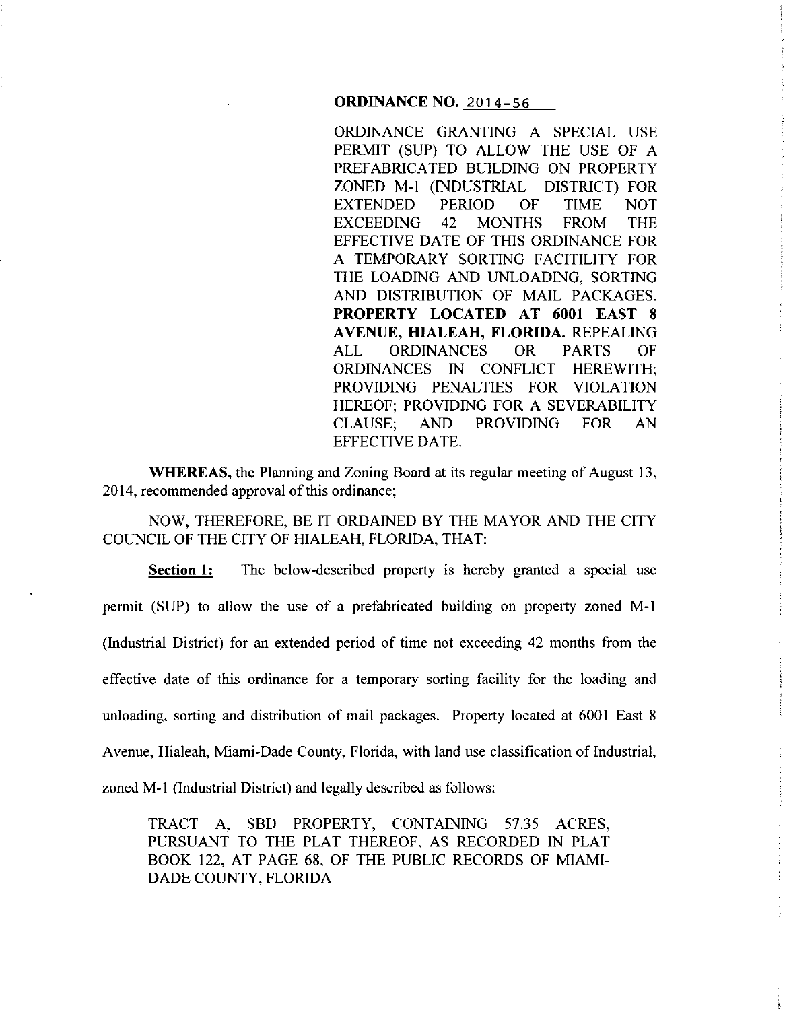**ORDINANCE NO.** 2014-56

ORDINANCE GRANTING A SPECIAL USE PERMIT (SUP) TO ALLOW THE USE OF A PREFABRICATED BUILDING ON PROPERTY ZONED M-1 (INDUSTRIAL DISTRICT) FOR EXTENDED PERIOD OF TIME NOT EXCEEDING 42 MONTHS FROM THE EFFECTIVE DATE OF THIS ORDINANCE FOR A TEMPORARY SORTING FACITILITY FOR THE LOADING AND UNLOADING, SORTING AND DISTRIBUTION OF MAIL PACKAGES. **PROPERTY LOCATED AT 6001 EAST 8 A VENUE, HIALEAH, FLORIDA.** REPEALING ALL ORDINANCES OR PARTS OF ORDINANCES IN CONFLICT HEREWITH; PROVIDING PENALTIES FOR VIOLATION HEREOF; PROVIDING FOR A SEVERABILITY CLAUSE; AND PROVIDING FOR AN EFFECTIVE DATE.

**WHEREAS,** the Planning and Zoning Board at its regular meeting of August 13, 2014, recommended approval of this ordinance;

NOW, THEREFORE, BE IT ORDAINED BY THE MAYOR AND THE CITY COUNCIL OF THE CITY OF HIALEAH, FLORIDA, THAT:

**Section 1:** The below-described property is hereby granted a special use permit (SUP) to allow the use of a prefabricated building on property zoned M-1 (Industrial District) for an extended period of time not exceeding 42 months from the effective date of this ordinance for a temporary sorting facility for the loading and unloading, sorting and distribution of mail packages. Property located at 6001 East 8 Avenue, Hialeah, Miami·Dade County, Florida, with land use classification of Industrial, zoned M-1 (Industrial District) and legally described as follows:

TRACT A, SBD PROPERTY, CONTAINING 57.35 ACRES, PURSUANT TO THE PLAT THEREOF, AS RECORDED IN PLAT BOOK 122, AT PAGE 68, OF THE PUBLIC RECORDS OF MIAMI-DADE COUNTY, FLORIDA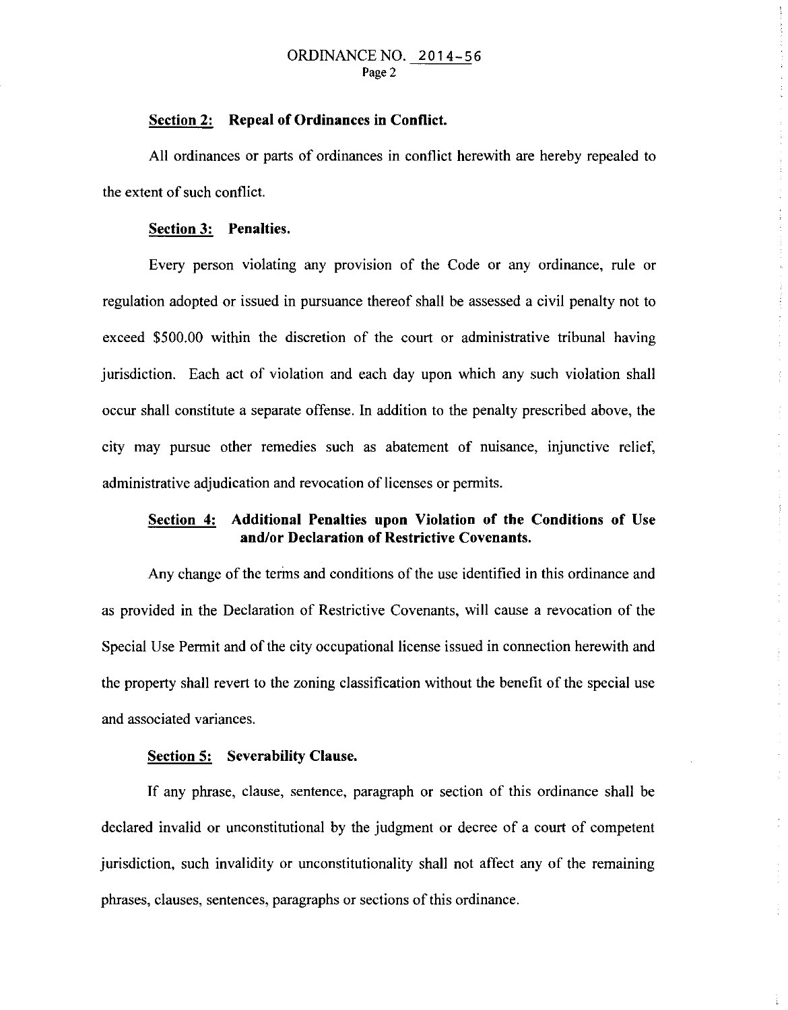#### ORDINANCE NO. 2014-56 Page 2

### **Section 2: Repeal of Ordinances in Conflict.**

All ordinances or parts of ordinances in conflict herewith are hereby repealed to the extent of such conflict.

#### **Section 3: Penalties.**

Every person violating any provision of the Code or any ordinance, rule or regulation adopted or issued in pursuance thereof shall be assessed a civil penalty not to exceed \$500.00 within the discretion of the court or administrative tribunal having jurisdiction. Each act of violation and each day upon which any such violation shall occur shall constitute a separate offense. In addition to the penalty prescribed above, the city may pursue other remedies such as abatement of nuisance, injunctive relief, administrative adjudication and revocation of licenses or permits.

## **Section 4: Additional Penalties upon Violation of the Conditions of Use and/or Declaration of Restrictive Covenants.**

Any change of the terins and conditions of the use identified **in** this ordinance and as provided in the Declaration of Restrictive Covenants, will cause a revocation of the Special Use Permit and of the city occupational license issued in connection herewith and the property shall revert to the zoning classification without the benefit of the special use and associated variances.

## **Section 5: Severability Clause.**

If any phrase, clause, sentence, paragraph or section of this ordinance shall be declared invalid or unconstitutional by the judgment or decree of a court of competent jurisdiction, such invalidity or unconstitutionality shall not affect any of the remaining phrases, clauses, sentences, paragraphs or sections of this ordinance.